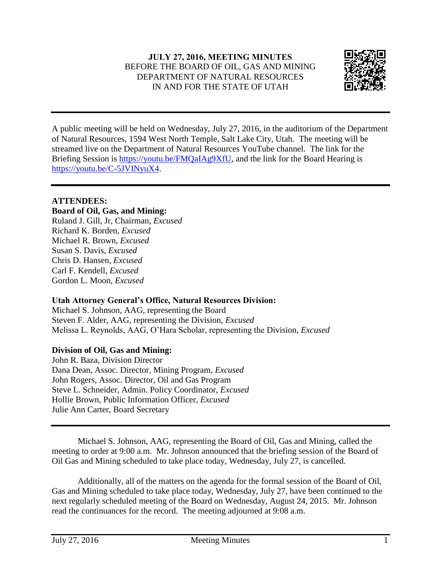

A public meeting will be held on Wednesday, July 27, 2016, in the auditorium of the Department of Natural Resources, 1594 West North Temple, Salt Lake City, Utah. The meeting will be streamed live on the Department of Natural Resources YouTube channel. The link for the Briefing Session is [https://youtu.be/FMQaIAg9XfU,](https://youtu.be/FMQaIAg9XfU) and the link for the Board Hearing is [https://youtu.be/C-5JVINyuX4.](https://youtu.be/C-5JVINyuX4)

# **ATTENDEES:**

## **Board of Oil, Gas, and Mining:**

Ruland J. Gill, Jr, Chairman, *Excused* Richard K. Borden, *Excused* Michael R. Brown, *Excused* Susan S. Davis, *Excused* Chris D. Hansen, *Excused* Carl F. Kendell, *Excused* Gordon L. Moon, *Excused*

## **Utah Attorney General's Office, Natural Resources Division:**

Michael S. Johnson, AAG, representing the Board Steven F. Alder, AAG, representing the Division, *Excused* Melissa L. Reynolds, AAG, O'Hara Scholar, representing the Division, *Excused*

## **Division of Oil, Gas and Mining:**

John R. Baza, Division Director Dana Dean, Assoc. Director, Mining Program, *Excused* John Rogers, Assoc. Director, Oil and Gas Program Steve L. Schneider, Admin. Policy Coordinator, *Excused* Hollie Brown, Public Information Officer, *Excused* Julie Ann Carter, Board Secretary

Michael S. Johnson, AAG, representing the Board of Oil, Gas and Mining, called the meeting to order at 9:00 a.m. Mr. Johnson announced that the briefing session of the Board of Oil Gas and Mining scheduled to take place today, Wednesday, July 27, is cancelled.

Additionally, all of the matters on the agenda for the formal session of the Board of Oil, Gas and Mining scheduled to take place today, Wednesday, July 27, have been continued to the next regularly scheduled meeting of the Board on Wednesday, August 24, 2015. Mr. Johnson read the continuances for the record. The meeting adjourned at 9:08 a.m.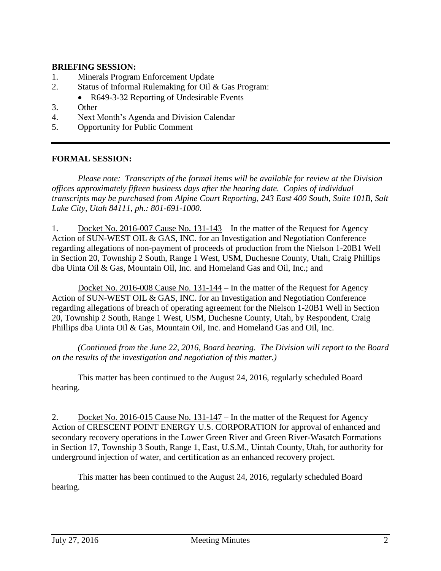#### **BRIEFING SESSION:**

- 1. Minerals Program Enforcement Update
- 2. Status of Informal Rulemaking for Oil & Gas Program:
	- R649-3-32 Reporting of Undesirable Events
- 3. Other
- 4. Next Month's Agenda and Division Calendar
- 5. Opportunity for Public Comment

#### **FORMAL SESSION:**

*Please note: Transcripts of the formal items will be available for review at the Division offices approximately fifteen business days after the hearing date. Copies of individual transcripts may be purchased from Alpine Court Reporting, 243 East 400 South, Suite 101B, Salt Lake City, Utah 84111, ph.: 801-691-1000.*

1. Docket No. 2016-007 Cause No. 131-143 – In the matter of the Request for Agency Action of SUN-WEST OIL & GAS, INC. for an Investigation and Negotiation Conference regarding allegations of non-payment of proceeds of production from the Nielson 1-20B1 Well in Section 20, Township 2 South, Range 1 West, USM, Duchesne County, Utah, Craig Phillips dba Uinta Oil & Gas, Mountain Oil, Inc. and Homeland Gas and Oil, Inc.; and

Docket No. 2016-008 Cause No. 131-144 – In the matter of the Request for Agency Action of SUN-WEST OIL & GAS, INC. for an Investigation and Negotiation Conference regarding allegations of breach of operating agreement for the Nielson 1-20B1 Well in Section 20, Township 2 South, Range 1 West, USM, Duchesne County, Utah, by Respondent, Craig Phillips dba Uinta Oil & Gas, Mountain Oil, Inc. and Homeland Gas and Oil, Inc.

*(Continued from the June 22, 2016, Board hearing. The Division will report to the Board on the results of the investigation and negotiation of this matter.)*

This matter has been continued to the August 24, 2016, regularly scheduled Board hearing.

2. Docket No. 2016-015 Cause No. 131-147 – In the matter of the Request for Agency Action of CRESCENT POINT ENERGY U.S. CORPORATION for approval of enhanced and secondary recovery operations in the Lower Green River and Green River-Wasatch Formations in Section 17, Township 3 South, Range 1, East, U.S.M., Uintah County, Utah, for authority for underground injection of water, and certification as an enhanced recovery project.

This matter has been continued to the August 24, 2016, regularly scheduled Board hearing.